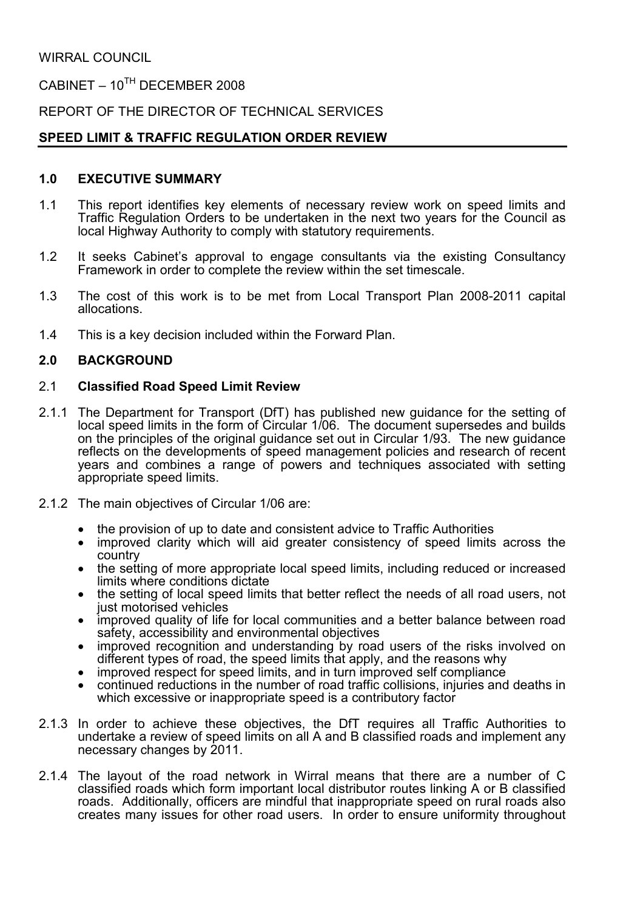WIRRAL COUNCIL

 $C$ ABINET – 10<sup>TH</sup> DECEMBER 2008

REPORT OF THE DIRECTOR OF TECHNICAL SERVICES

## SPEED LIMIT & TRAFFIC REGULATION ORDER REVIEW

#### 1.0 EXECUTIVE SUMMARY

- 1.1 This report identifies key elements of necessary review work on speed limits and Traffic Regulation Orders to be undertaken in the next two years for the Council as local Highway Authority to comply with statutory requirements.
- 1.2 It seeks Cabinet's approval to engage consultants via the existing Consultancy Framework in order to complete the review within the set timescale.
- 1.3 The cost of this work is to be met from Local Transport Plan 2008-2011 capital allocations.
- 1.4 This is a key decision included within the Forward Plan.

### 2.0 BACKGROUND

#### 2.1 Classified Road Speed Limit Review

- 2.1.1 The Department for Transport (DfT) has published new guidance for the setting of local speed limits in the form of Circular 1/06. The document supersedes and builds on the principles of the original guidance set out in Circular 1/93. The new guidance reflects on the developments of speed management policies and research of recent years and combines a range of powers and techniques associated with setting appropriate speed limits.
- 2.1.2 The main objectives of Circular 1/06 are:
	- the provision of up to date and consistent advice to Traffic Authorities
	- improved clarity which will aid greater consistency of speed limits across the country
	- the setting of more appropriate local speed limits, including reduced or increased limits where conditions dictate
	- the setting of local speed limits that better reflect the needs of all road users, not just motorised vehicles
	- improved quality of life for local communities and a better balance between road safety, accessibility and environmental objectives
	- improved recognition and understanding by road users of the risks involved on different types of road, the speed limits that apply, and the reasons why
	- improved respect for speed limits, and in turn improved self compliance
	- continued reductions in the number of road traffic collisions, injuries and deaths in which excessive or inappropriate speed is a contributory factor
- 2.1.3 In order to achieve these objectives, the DfT requires all Traffic Authorities to undertake a review of speed limits on all A and B classified roads and implement any necessary changes by 2011.
- 2.1.4 The layout of the road network in Wirral means that there are a number of C classified roads which form important local distributor routes linking A or B classified roads. Additionally, officers are mindful that inappropriate speed on rural roads also creates many issues for other road users. In order to ensure uniformity throughout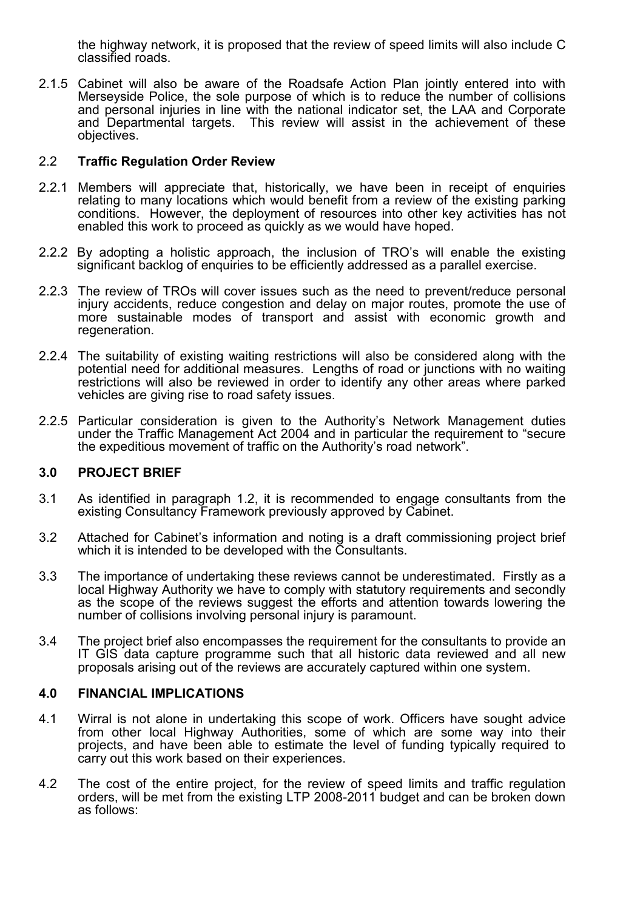the highway network, it is proposed that the review of speed limits will also include C classified roads.

2.1.5 Cabinet will also be aware of the Roadsafe Action Plan jointly entered into with Merseyside Police, the sole purpose of which is to reduce the number of collisions and personal injuries in line with the national indicator set, the LAA and Corporate and Departmental targets. This review will assist in the achievement of these objectives.

#### 2.2 Traffic Regulation Order Review

- 2.2.1 Members will appreciate that, historically, we have been in receipt of enquiries relating to many locations which would benefit from a review of the existing parking conditions. However, the deployment of resources into other key activities has not enabled this work to proceed as quickly as we would have hoped.
- 2.2.2 By adopting a holistic approach, the inclusion of TRO's will enable the existing significant backlog of enquiries to be efficiently addressed as a parallel exercise.
- 2.2.3 The review of TROs will cover issues such as the need to prevent/reduce personal injury accidents, reduce congestion and delay on major routes, promote the use of more sustainable modes of transport and assist with economic growth and regeneration.
- 2.2.4 The suitability of existing waiting restrictions will also be considered along with the potential need for additional measures. Lengths of road or junctions with no waiting restrictions will also be reviewed in order to identify any other areas where parked vehicles are giving rise to road safety issues.
- 2.2.5 Particular consideration is given to the Authority's Network Management duties under the Traffic Management Act 2004 and in particular the requirement to "secure the expeditious movement of traffic on the Authority's road network".

### 3.0 PROJECT BRIEF

- 3.1 As identified in paragraph 1.2, it is recommended to engage consultants from the existing Consultancy Framework previously approved by Cabinet.
- 3.2 Attached for Cabinet's information and noting is a draft commissioning project brief which it is intended to be developed with the Consultants.
- 3.3 The importance of undertaking these reviews cannot be underestimated. Firstly as a local Highway Authority we have to comply with statutory requirements and secondly as the scope of the reviews suggest the efforts and attention towards lowering the number of collisions involving personal injury is paramount.
- 3.4 The project brief also encompasses the requirement for the consultants to provide an IT GIS data capture programme such that all historic data reviewed and all new proposals arising out of the reviews are accurately captured within one system.

#### 4.0 FINANCIAL IMPLICATIONS

- 4.1 Wirral is not alone in undertaking this scope of work. Officers have sought advice from other local Highway Authorities, some of which are some way into their projects, and have been able to estimate the level of funding typically required to carry out this work based on their experiences.
- 4.2 The cost of the entire project, for the review of speed limits and traffic regulation orders, will be met from the existing LTP 2008-2011 budget and can be broken down as follows: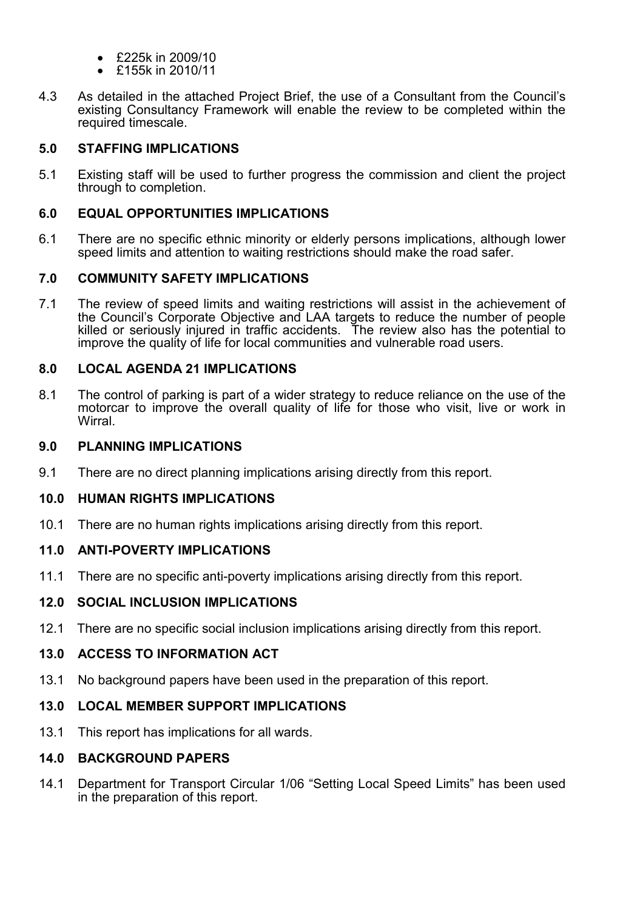- £225k in 2009/10
- £155k in 2010/11
- 4.3 As detailed in the attached Project Brief, the use of a Consultant from the Council's existing Consultancy Framework will enable the review to be completed within the required timescale.

## 5.0 STAFFING IMPLICATIONS

5.1 Existing staff will be used to further progress the commission and client the project through to completion.

### 6.0 EQUAL OPPORTUNITIES IMPLICATIONS

6.1 There are no specific ethnic minority or elderly persons implications, although lower speed limits and attention to waiting restrictions should make the road safer.

## 7.0 COMMUNITY SAFETY IMPLICATIONS

7.1 The review of speed limits and waiting restrictions will assist in the achievement of the Council's Corporate Objective and LAA targets to reduce the number of people killed or seriously injured in traffic accidents. The review also has the potential to improve the quality of life for local communities and vulnerable road users.

### 8.0 LOCAL AGENDA 21 IMPLICATIONS

8.1 The control of parking is part of a wider strategy to reduce reliance on the use of the motorcar to improve the overall quality of life for those who visit, live or work in Wirral.

### 9.0 PLANNING IMPLICATIONS

9.1 There are no direct planning implications arising directly from this report.

### 10.0 HUMAN RIGHTS IMPLICATIONS

10.1 There are no human rights implications arising directly from this report.

# 11.0 ANTI-POVERTY IMPLICATIONS

11.1 There are no specific anti-poverty implications arising directly from this report.

# 12.0 SOCIAL INCLUSION IMPLICATIONS

12.1 There are no specific social inclusion implications arising directly from this report.

# 13.0 ACCESS TO INFORMATION ACT

13.1 No background papers have been used in the preparation of this report.

# 13.0 LOCAL MEMBER SUPPORT IMPLICATIONS

13.1 This report has implications for all wards.

### 14.0 BACKGROUND PAPERS

14.1 Department for Transport Circular 1/06 "Setting Local Speed Limits" has been used in the preparation of this report.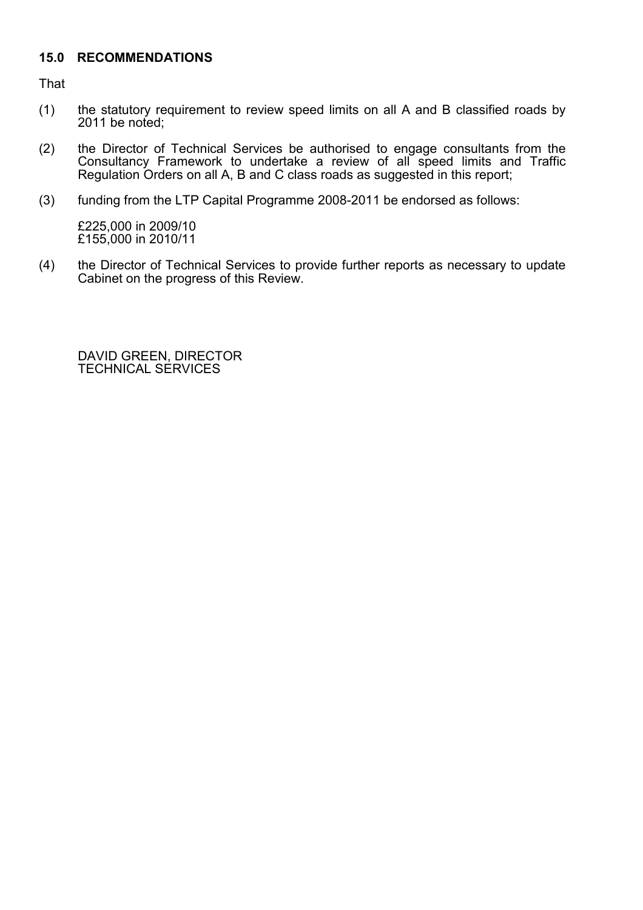## 15.0 RECOMMENDATIONS

That

- (1) the statutory requirement to review speed limits on all A and B classified roads by 2011 be noted;
- (2) the Director of Technical Services be authorised to engage consultants from the Consultancy Framework to undertake a review of all speed limits and Traffic Regulation Orders on all A, B and C class roads as suggested in this report;
- (3) funding from the LTP Capital Programme 2008-2011 be endorsed as follows:

 £225,000 in 2009/10 £155,000 in 2010/11

(4) the Director of Technical Services to provide further reports as necessary to update Cabinet on the progress of this Review.

 DAVID GREEN, DIRECTOR TECHNICAL SERVICES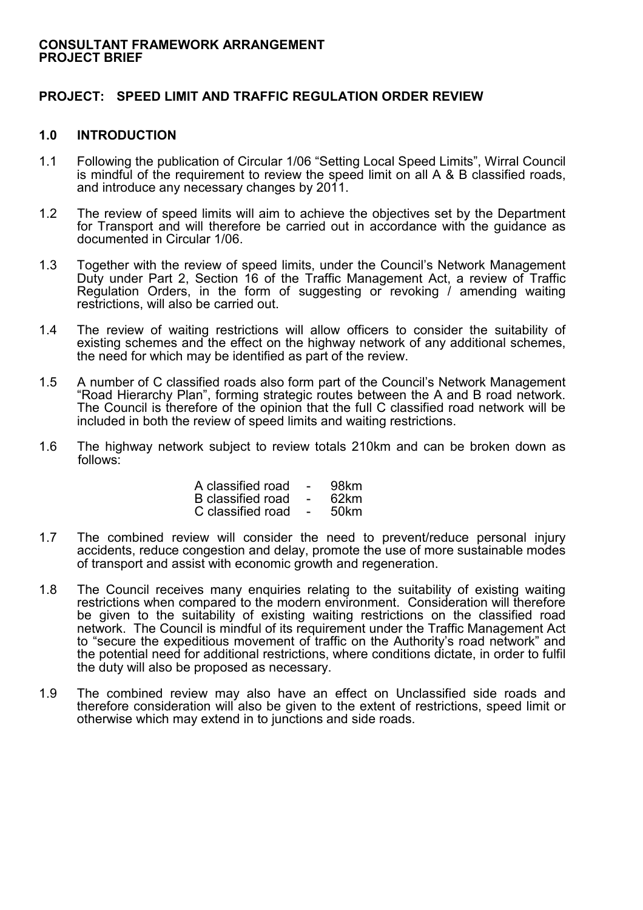#### CONSULTANT FRAMEWORK ARRANGEMENT PROJECT BRIEF

### PROJECT: SPEED LIMIT AND TRAFFIC REGULATION ORDER REVIEW

#### 1.0 INTRODUCTION

- 1.1 Following the publication of Circular 1/06 "Setting Local Speed Limits", Wirral Council is mindful of the requirement to review the speed limit on all A & B classified roads, and introduce any necessary changes by 2011.
- 1.2 The review of speed limits will aim to achieve the objectives set by the Department for Transport and will therefore be carried out in accordance with the guidance as documented in Circular 1/06.
- 1.3 Together with the review of speed limits, under the Council's Network Management Duty under Part 2, Section 16 of the Traffic Management Act, a review of Traffic Regulation Orders, in the form of suggesting or revoking  $\ell$  amending waiting restrictions, will also be carried out.
- 1.4 The review of waiting restrictions will allow officers to consider the suitability of existing schemes and the effect on the highway network of any additional schemes, the need for which may be identified as part of the review.
- 1.5 A number of C classified roads also form part of the Council's Network Management "Road Hierarchy Plan", forming strategic routes between the A and B road network. The Council is therefore of the opinion that the full C classified road network will be included in both the review of speed limits and waiting restrictions.
- 1.6 The highway network subject to review totals 210km and can be broken down as follows:

| A classified road - 98km |  |
|--------------------------|--|
| B classified road - 62km |  |
| C classified road - 50km |  |

- 1.7 The combined review will consider the need to prevent/reduce personal injury accidents, reduce congestion and delay, promote the use of more sustainable modes of transport and assist with economic growth and regeneration.
- 1.8 The Council receives many enquiries relating to the suitability of existing waiting restrictions when compared to the modern environment. Consideration will therefore be given to the suitability of existing waiting restrictions on the classified road network. The Council is mindful of its requirement under the Traffic Management Act to "secure the expeditious movement of traffic on the Authority's road network" and the potential need for additional restrictions, where conditions dictate, in order to fulfil the duty will also be proposed as necessary.
- 1.9 The combined review may also have an effect on Unclassified side roads and therefore consideration will also be given to the extent of restrictions, speed limit or otherwise which may extend in to junctions and side roads.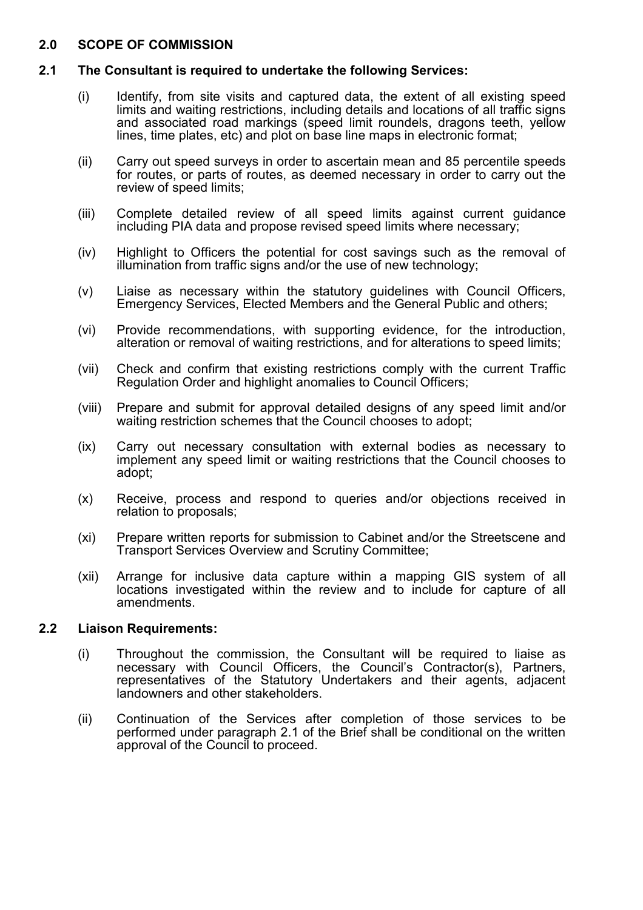### 2.0 SCOPE OF COMMISSION

### 2.1 The Consultant is required to undertake the following Services:

- (i) Identify, from site visits and captured data, the extent of all existing speed limits and waiting restrictions, including details and locations of all traffic signs and associated road markings (speed limit roundels, dragons teeth, yellow lines, time plates, etc) and plot on base line maps in electronic format;
- (ii) Carry out speed surveys in order to ascertain mean and 85 percentile speeds for routes, or parts of routes, as deemed necessary in order to carry out the review of speed limits;
- (iii) Complete detailed review of all speed limits against current guidance including PIA data and propose revised speed limits where necessary;
- (iv) Highlight to Officers the potential for cost savings such as the removal of illumination from traffic signs and/or the use of new technology;
- (v) Liaise as necessary within the statutory guidelines with Council Officers, Emergency Services, Elected Members and the General Public and others;
- (vi) Provide recommendations, with supporting evidence, for the introduction, alteration or removal of waiting restrictions, and for alterations to speed limits;
- (vii) Check and confirm that existing restrictions comply with the current Traffic Regulation Order and highlight anomalies to Council Officers;
- (viii) Prepare and submit for approval detailed designs of any speed limit and/or waiting restriction schemes that the Council chooses to adopt;
- (ix) Carry out necessary consultation with external bodies as necessary to implement any speed limit or waiting restrictions that the Council chooses to adopt;
- (x) Receive, process and respond to queries and/or objections received in relation to proposals;
- (xi) Prepare written reports for submission to Cabinet and/or the Streetscene and Transport Services Overview and Scrutiny Committee;
- (xii) Arrange for inclusive data capture within a mapping GIS system of all locations investigated within the review and to include for capture of all amendments.

### 2.2 Liaison Requirements:

- (i) Throughout the commission, the Consultant will be required to liaise as necessary with Council Officers, the Council's Contractor(s), Partners, representatives of the Statutory Undertakers and their agents, adjacent landowners and other stakeholders.
- (ii) Continuation of the Services after completion of those services to be performed under paragraph 2.1 of the Brief shall be conditional on the written approval of the Council to proceed.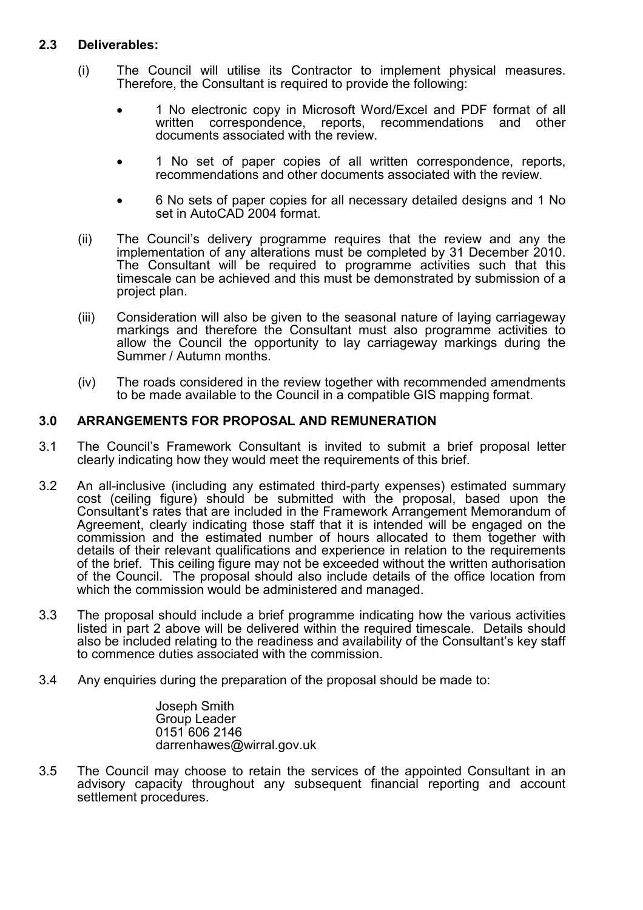# 2.3 Deliverables:

- (i) The Council will utilise its Contractor to implement physical measures. Therefore, the Consultant is required to provide the following:
	- 1 No electronic copy in Microsoft Word/Excel and PDF format of all written correspondence, reports, recommendations and other recommendations and other documents associated with the review.
	- 1 No set of paper copies of all written correspondence, reports, recommendations and other documents associated with the review.
	- 6 No sets of paper copies for all necessary detailed designs and 1 No set in AutoCAD 2004 format.
- (ii) The Council's delivery programme requires that the review and any the implementation of any alterations must be completed by 31 December 2010. The Consultant will be required to programme activities such that this timescale can be achieved and this must be demonstrated by submission of a project plan.
- (iii) Consideration will also be given to the seasonal nature of laying carriageway markings and therefore the Consultant must also programme activities to allow the Council the opportunity to lay carriageway markings during the Summer / Autumn months.
- (iv) The roads considered in the review together with recommended amendments to be made available to the Council in a compatible GIS mapping format.

### 3.0 ARRANGEMENTS FOR PROPOSAL AND REMUNERATION

- 3.1 The Council's Framework Consultant is invited to submit a brief proposal letter clearly indicating how they would meet the requirements of this brief.
- 3.2 An all-inclusive (including any estimated third-party expenses) estimated summary cost (ceiling figure) should be submitted with the proposal, based upon the Consultant's rates that are included in the Framework Arrangement Memorandum of Agreement, clearly indicating those staff that it is intended will be engaged on the commission and the estimated number of hours allocated to them together with details of their relevant qualifications and experience in relation to the requirements of the brief. This ceiling figure may not be exceeded without the written authorisation of the Council. The proposal should also include details of the office location from which the commission would be administered and managed.
- 3.3 The proposal should include a brief programme indicating how the various activities listed in part 2 above will be delivered within the required timescale. Details should also be included relating to the readiness and availability of the Consultant's key staff to commence duties associated with the commission.
- 3.4 Any enquiries during the preparation of the proposal should be made to:

Joseph Smith Group Leader 0151 606 2146 darrenhawes@wirral.gov.uk

3.5 The Council may choose to retain the services of the appointed Consultant in an advisory capacity throughout any subsequent financial reporting and account settlement procedures.